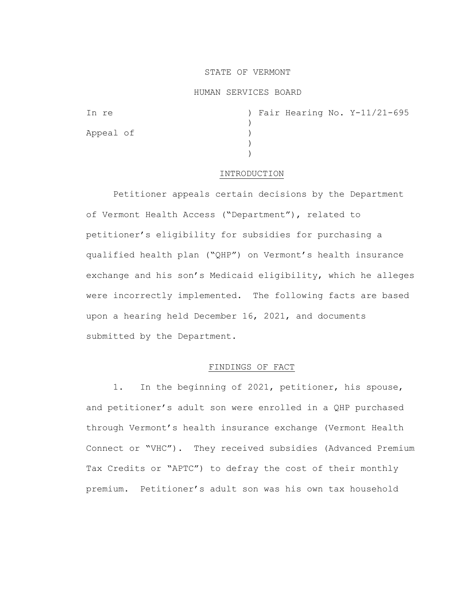## STATE OF VERMONT

### HUMAN SERVICES BOARD

| In re     |  |  | ) Fair Hearing No. Y-11/21-695 |
|-----------|--|--|--------------------------------|
|           |  |  |                                |
| Appeal of |  |  |                                |
|           |  |  |                                |
|           |  |  |                                |

### INTRODUCTION

Petitioner appeals certain decisions by the Department of Vermont Health Access ("Department"), related to petitioner's eligibility for subsidies for purchasing a qualified health plan ("QHP") on Vermont's health insurance exchange and his son's Medicaid eligibility, which he alleges were incorrectly implemented. The following facts are based upon a hearing held December 16, 2021, and documents submitted by the Department.

# FINDINGS OF FACT

1. In the beginning of 2021, petitioner, his spouse, and petitioner's adult son were enrolled in a QHP purchased through Vermont's health insurance exchange (Vermont Health Connect or "VHC"). They received subsidies (Advanced Premium Tax Credits or "APTC") to defray the cost of their monthly premium. Petitioner's adult son was his own tax household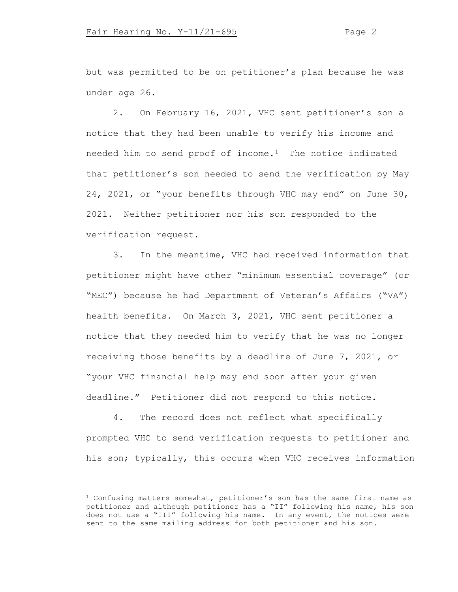but was permitted to be on petitioner's plan because he was under age 26.

2. On February 16, 2021, VHC sent petitioner's son a notice that they had been unable to verify his income and needed him to send proof of income.[1](#page-1-0) The notice indicated that petitioner's son needed to send the verification by May 24, 2021, or "your benefits through VHC may end" on June 30, 2021. Neither petitioner nor his son responded to the verification request.

3. In the meantime, VHC had received information that petitioner might have other "minimum essential coverage" (or "MEC") because he had Department of Veteran's Affairs ("VA") health benefits. On March 3, 2021, VHC sent petitioner a notice that they needed him to verify that he was no longer receiving those benefits by a deadline of June 7, 2021, or "your VHC financial help may end soon after your given deadline." Petitioner did not respond to this notice.

4. The record does not reflect what specifically prompted VHC to send verification requests to petitioner and his son; typically, this occurs when VHC receives information

<span id="page-1-0"></span><sup>1</sup> Confusing matters somewhat, petitioner's son has the same first name as petitioner and although petitioner has a "II" following his name, his son does not use a "III" following his name. In any event, the notices were sent to the same mailing address for both petitioner and his son.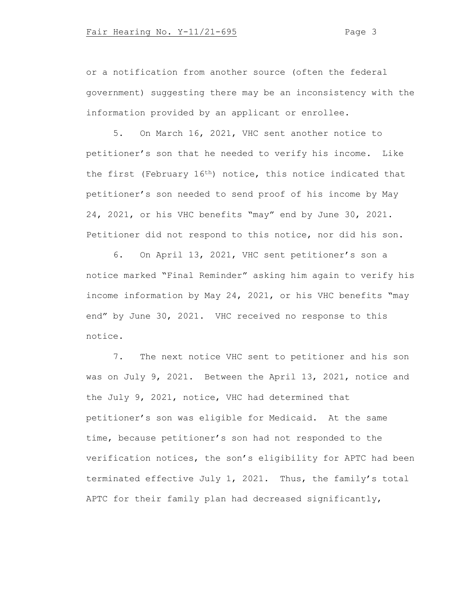or a notification from another source (often the federal government) suggesting there may be an inconsistency with the information provided by an applicant or enrollee.

5. On March 16, 2021, VHC sent another notice to petitioner's son that he needed to verify his income. Like the first (February 16th) notice, this notice indicated that petitioner's son needed to send proof of his income by May 24, 2021, or his VHC benefits "may" end by June 30, 2021. Petitioner did not respond to this notice, nor did his son.

6. On April 13, 2021, VHC sent petitioner's son a notice marked "Final Reminder" asking him again to verify his income information by May 24, 2021, or his VHC benefits "may end" by June 30, 2021. VHC received no response to this notice.

7. The next notice VHC sent to petitioner and his son was on July 9, 2021. Between the April 13, 2021, notice and the July 9, 2021, notice, VHC had determined that petitioner's son was eligible for Medicaid. At the same time, because petitioner's son had not responded to the verification notices, the son's eligibility for APTC had been terminated effective July 1, 2021. Thus, the family's total APTC for their family plan had decreased significantly,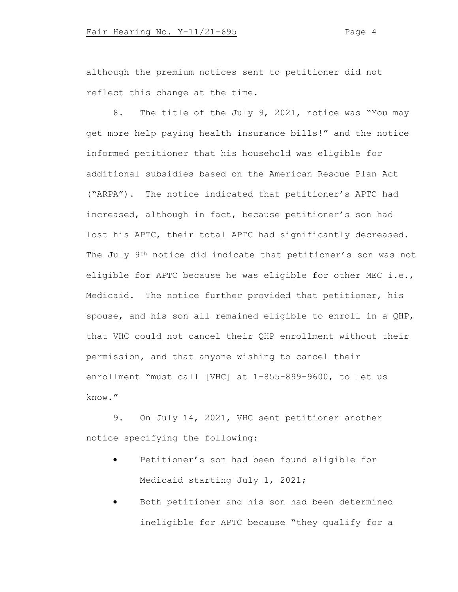although the premium notices sent to petitioner did not reflect this change at the time.

8. The title of the July 9, 2021, notice was "You may get more help paying health insurance bills!" and the notice informed petitioner that his household was eligible for additional subsidies based on the American Rescue Plan Act ("ARPA"). The notice indicated that petitioner's APTC had increased, although in fact, because petitioner's son had lost his APTC, their total APTC had significantly decreased. The July 9<sup>th</sup> notice did indicate that petitioner's son was not eligible for APTC because he was eligible for other MEC i.e., Medicaid. The notice further provided that petitioner, his spouse, and his son all remained eligible to enroll in a QHP, that VHC could not cancel their QHP enrollment without their permission, and that anyone wishing to cancel their enrollment "must call [VHC] at 1-855-899-9600, to let us know."

9. On July 14, 2021, VHC sent petitioner another notice specifying the following:

- Petitioner's son had been found eligible for Medicaid starting July 1, 2021;
- Both petitioner and his son had been determined ineligible for APTC because "they qualify for a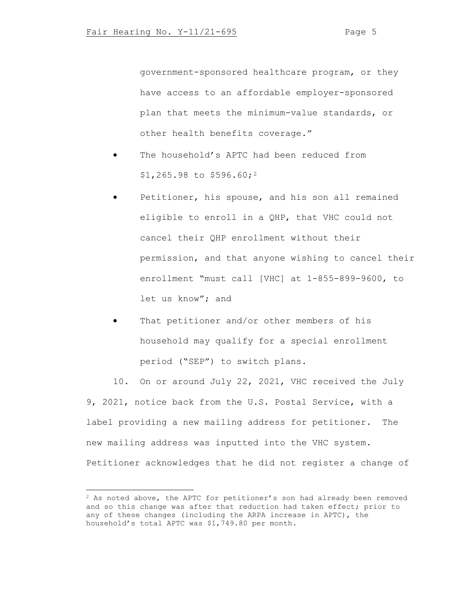government-sponsored healthcare program, or they have access to an affordable employer-sponsored plan that meets the minimum-value standards, or other health benefits coverage."

- The household's APTC had been reduced from \$1,265.98 to \$596.60;[2](#page-4-0)
- Petitioner, his spouse, and his son all remained eligible to enroll in a QHP, that VHC could not cancel their QHP enrollment without their permission, and that anyone wishing to cancel their enrollment "must call [VHC] at 1-855-899-9600, to let us know"; and
- That petitioner and/or other members of his household may qualify for a special enrollment period ("SEP") to switch plans.

10. On or around July 22, 2021, VHC received the July 9, 2021, notice back from the U.S. Postal Service, with a label providing a new mailing address for petitioner. The new mailing address was inputted into the VHC system. Petitioner acknowledges that he did not register a change of

<span id="page-4-0"></span><sup>&</sup>lt;sup>2</sup> As noted above, the APTC for petitioner's son had already been removed and so this change was after that reduction had taken effect; prior to any of these changes (including the ARPA increase in APTC), the household's total APTC was \$1,749.80 per month.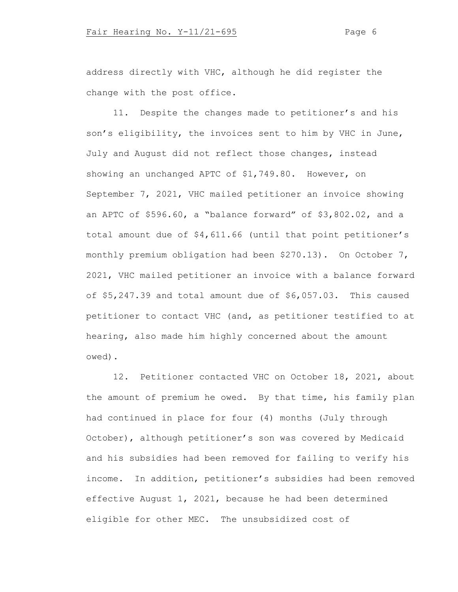address directly with VHC, although he did register the change with the post office.

11. Despite the changes made to petitioner's and his son's eligibility, the invoices sent to him by VHC in June, July and August did not reflect those changes, instead showing an unchanged APTC of \$1,749.80. However, on September 7, 2021, VHC mailed petitioner an invoice showing an APTC of \$596.60, a "balance forward" of \$3,802.02, and a total amount due of \$4,611.66 (until that point petitioner's monthly premium obligation had been \$270.13). On October 7, 2021, VHC mailed petitioner an invoice with a balance forward of \$5,247.39 and total amount due of \$6,057.03. This caused petitioner to contact VHC (and, as petitioner testified to at hearing, also made him highly concerned about the amount owed).

12. Petitioner contacted VHC on October 18, 2021, about the amount of premium he owed. By that time, his family plan had continued in place for four (4) months (July through October), although petitioner's son was covered by Medicaid and his subsidies had been removed for failing to verify his income. In addition, petitioner's subsidies had been removed effective August 1, 2021, because he had been determined eligible for other MEC. The unsubsidized cost of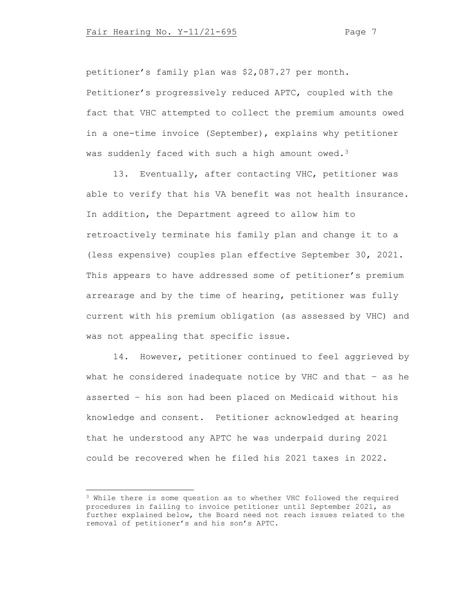petitioner's family plan was \$2,087.27 per month. Petitioner's progressively reduced APTC, coupled with the fact that VHC attempted to collect the premium amounts owed in a one-time invoice (September), explains why petitioner

was suddenly faced with such a high amount owed.<sup>[3](#page-6-0)</sup>

13. Eventually, after contacting VHC, petitioner was able to verify that his VA benefit was not health insurance. In addition, the Department agreed to allow him to retroactively terminate his family plan and change it to a (less expensive) couples plan effective September 30, 2021. This appears to have addressed some of petitioner's premium arrearage and by the time of hearing, petitioner was fully current with his premium obligation (as assessed by VHC) and was not appealing that specific issue.

14. However, petitioner continued to feel aggrieved by what he considered inadequate notice by VHC and that – as he asserted – his son had been placed on Medicaid without his knowledge and consent. Petitioner acknowledged at hearing that he understood any APTC he was underpaid during 2021 could be recovered when he filed his 2021 taxes in 2022.

<span id="page-6-0"></span><sup>3</sup> While there is some question as to whether VHC followed the required procedures in failing to invoice petitioner until September 2021, as further explained below, the Board need not reach issues related to the removal of petitioner's and his son's APTC.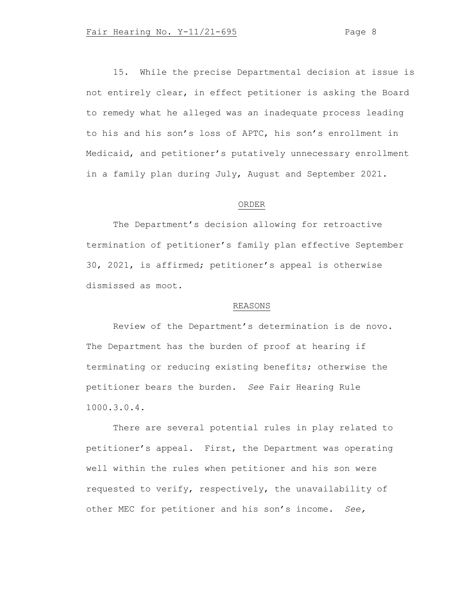15. While the precise Departmental decision at issue is not entirely clear, in effect petitioner is asking the Board to remedy what he alleged was an inadequate process leading to his and his son's loss of APTC, his son's enrollment in Medicaid, and petitioner's putatively unnecessary enrollment in a family plan during July, August and September 2021.

### ORDER

The Department's decision allowing for retroactive termination of petitioner's family plan effective September 30, 2021, is affirmed; petitioner's appeal is otherwise dismissed as moot.

#### REASONS

Review of the Department's determination is de novo. The Department has the burden of proof at hearing if terminating or reducing existing benefits; otherwise the petitioner bears the burden. *See* Fair Hearing Rule 1000.3.0.4.

There are several potential rules in play related to petitioner's appeal. First, the Department was operating well within the rules when petitioner and his son were requested to verify, respectively, the unavailability of other MEC for petitioner and his son's income. *See,*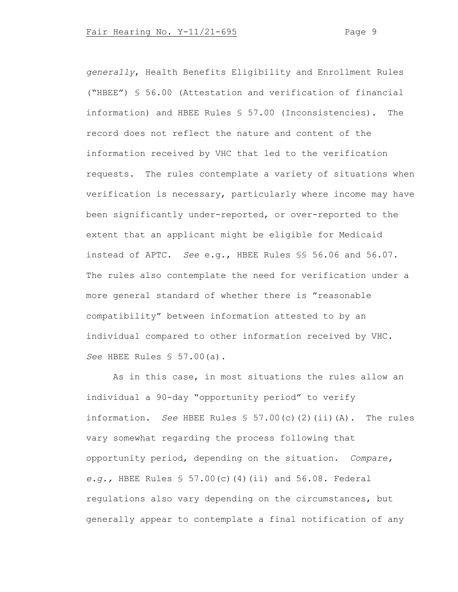*generally*, Health Benefits Eligibility and Enrollment Rules ("HBEE") § 56.00 (Attestation and verification of financial information) and HBEE Rules § 57.00 (Inconsistencies). The record does not reflect the nature and content of the information received by VHC that led to the verification requests. The rules contemplate a variety of situations when verification is necessary, particularly where income may have been significantly under-reported, or over-reported to the extent that an applicant might be eligible for Medicaid instead of APTC. *See* e.g., HBEE Rules §§ 56.06 and 56.07. The rules also contemplate the need for verification under a more general standard of whether there is "reasonable compatibility" between information attested to by an individual compared to other information received by VHC. *See* HBEE Rules § 57.00(a).

As in this case, in most situations the rules allow an individual a 90-day "opportunity period" to verify information. *See* HBEE Rules § 57.00(c)(2)(ii)(A). The rules vary somewhat regarding the process following that opportunity period, depending on the situation. *Compare, e.g.,* HBEE Rules § 57.00(c)(4)(ii) and 56.08. Federal regulations also vary depending on the circumstances, but generally appear to contemplate a final notification of any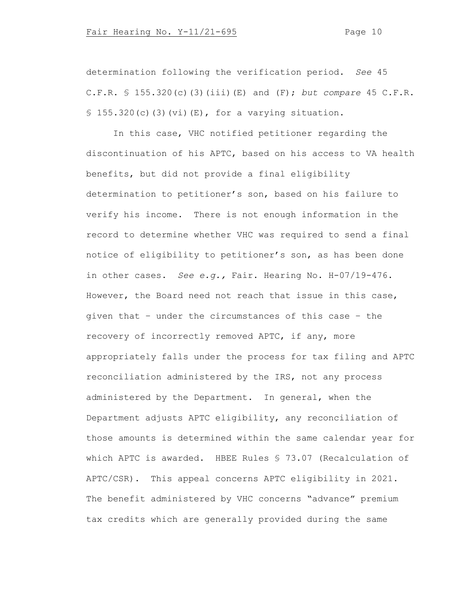determination following the verification period. *See* 45 C.F.R. § 155.320(c)(3)(iii)(E) and (F); *but compare* 45 C.F.R.  $$155.320(c)(3)(vi)(E)$ , for a varying situation.

In this case, VHC notified petitioner regarding the discontinuation of his APTC, based on his access to VA health benefits, but did not provide a final eligibility determination to petitioner's son, based on his failure to verify his income. There is not enough information in the record to determine whether VHC was required to send a final notice of eligibility to petitioner's son, as has been done in other cases. *See e.g.,* Fair. Hearing No. H-07/19-476. However, the Board need not reach that issue in this case, given that – under the circumstances of this case – the recovery of incorrectly removed APTC, if any, more appropriately falls under the process for tax filing and APTC reconciliation administered by the IRS, not any process administered by the Department. In general, when the Department adjusts APTC eligibility, any reconciliation of those amounts is determined within the same calendar year for which APTC is awarded. HBEE Rules § 73.07 (Recalculation of APTC/CSR). This appeal concerns APTC eligibility in 2021. The benefit administered by VHC concerns "advance" premium tax credits which are generally provided during the same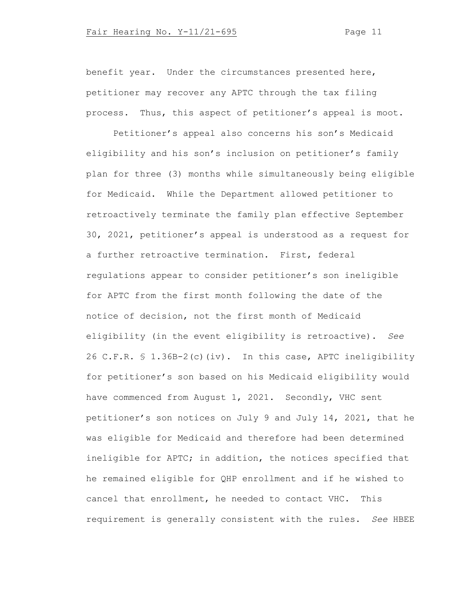benefit year. Under the circumstances presented here, petitioner may recover any APTC through the tax filing process. Thus, this aspect of petitioner's appeal is moot.

Petitioner's appeal also concerns his son's Medicaid eligibility and his son's inclusion on petitioner's family plan for three (3) months while simultaneously being eligible for Medicaid. While the Department allowed petitioner to retroactively terminate the family plan effective September 30, 2021, petitioner's appeal is understood as a request for a further retroactive termination. First, federal regulations appear to consider petitioner's son ineligible for APTC from the first month following the date of the notice of decision, not the first month of Medicaid eligibility (in the event eligibility is retroactive). *See*  26 C.F.R. § 1.36B-2(c)(iv). In this case, APTC ineligibility for petitioner's son based on his Medicaid eligibility would have commenced from August 1, 2021. Secondly, VHC sent petitioner's son notices on July 9 and July 14, 2021, that he was eligible for Medicaid and therefore had been determined ineligible for APTC; in addition, the notices specified that he remained eligible for QHP enrollment and if he wished to cancel that enrollment, he needed to contact VHC. This requirement is generally consistent with the rules. *See* HBEE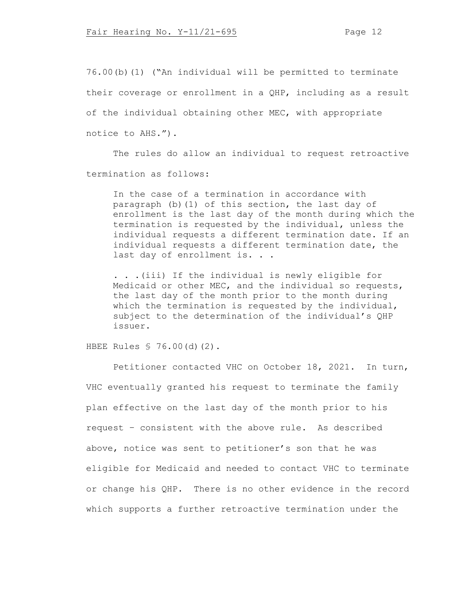76.00(b)(1) ("An individual will be permitted to terminate their coverage or enrollment in a QHP, including as a result of the individual obtaining other MEC, with appropriate notice to AHS.").

The rules do allow an individual to request retroactive termination as follows:

In the case of a termination in accordance with paragraph (b)(1) of this section, the last day of enrollment is the last day of the month during which the termination is requested by the individual, unless the individual requests a different termination date. If an individual requests a different termination date, the last day of enrollment is. . .

. . .(iii) If the individual is newly eligible for Medicaid or other MEC, and the individual so requests, the last day of the month prior to the month during which the termination is requested by the individual, subject to the determination of the individual's QHP issuer.

HBEE Rules § 76.00(d)(2).

Petitioner contacted VHC on October 18, 2021. In turn, VHC eventually granted his request to terminate the family plan effective on the last day of the month prior to his request – consistent with the above rule. As described above, notice was sent to petitioner's son that he was eligible for Medicaid and needed to contact VHC to terminate or change his QHP. There is no other evidence in the record which supports a further retroactive termination under the